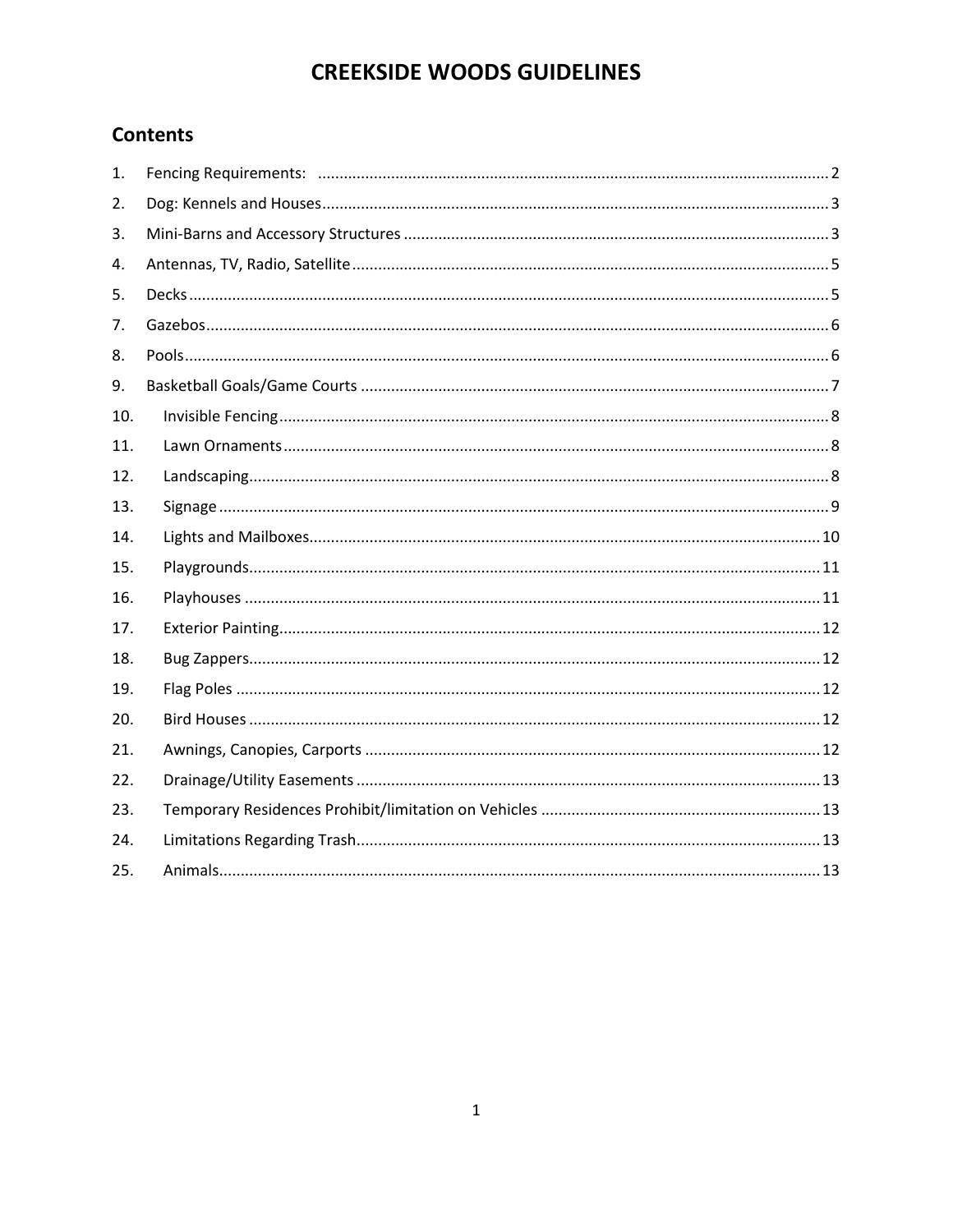#### **Contents**

| 1.  |  |
|-----|--|
| 2.  |  |
| 3.  |  |
| 4.  |  |
| 5.  |  |
| 7.  |  |
| 8.  |  |
| 9.  |  |
| 10. |  |
| 11. |  |
| 12. |  |
| 13. |  |
| 14. |  |
| 15. |  |
| 16. |  |
| 17. |  |
| 18. |  |
| 19. |  |
| 20. |  |
| 21. |  |
| 22. |  |
| 23. |  |
| 24. |  |
| 25. |  |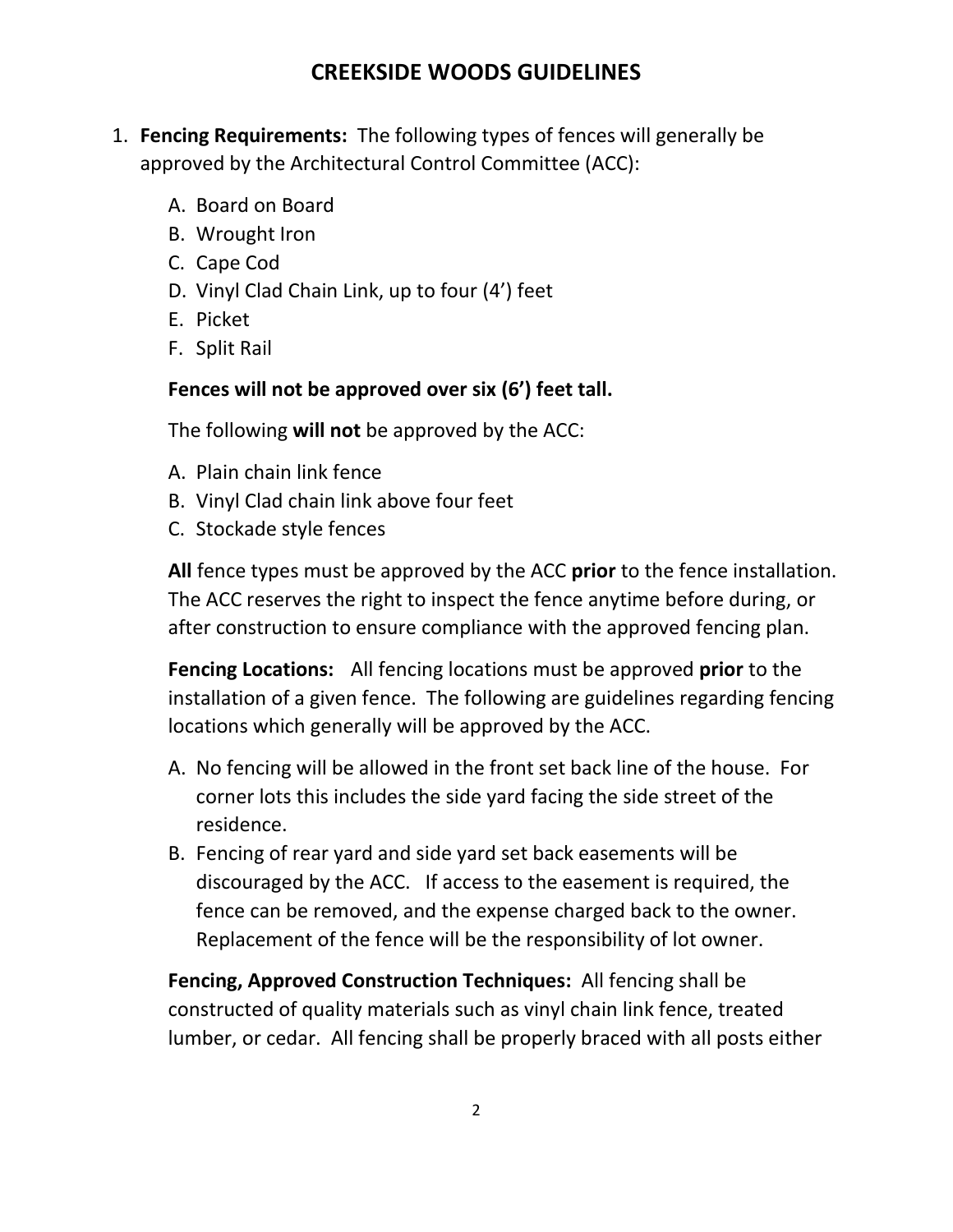- <span id="page-1-0"></span>1. **Fencing Requirements:** The following types of fences will generally be approved by the Architectural Control Committee (ACC):
	- A. Board on Board
	- B. Wrought Iron
	- C. Cape Cod
	- D. Vinyl Clad Chain Link, up to four (4') feet
	- E. Picket
	- F. Split Rail

#### **Fences will not be approved over six (6') feet tall.**

The following **will not** be approved by the ACC:

- A. Plain chain link fence
- B. Vinyl Clad chain link above four feet
- C. Stockade style fences

**All** fence types must be approved by the ACC **prior** to the fence installation. The ACC reserves the right to inspect the fence anytime before during, or after construction to ensure compliance with the approved fencing plan.

**Fencing Locations:** All fencing locations must be approved **prior** to the installation of a given fence. The following are guidelines regarding fencing locations which generally will be approved by the ACC.

- A. No fencing will be allowed in the front set back line of the house. For corner lots this includes the side yard facing the side street of the residence.
- B. Fencing of rear yard and side yard set back easements will be discouraged by the ACC. If access to the easement is required, the fence can be removed, and the expense charged back to the owner. Replacement of the fence will be the responsibility of lot owner.

**Fencing, Approved Construction Techniques:** All fencing shall be constructed of quality materials such as vinyl chain link fence, treated lumber, or cedar. All fencing shall be properly braced with all posts either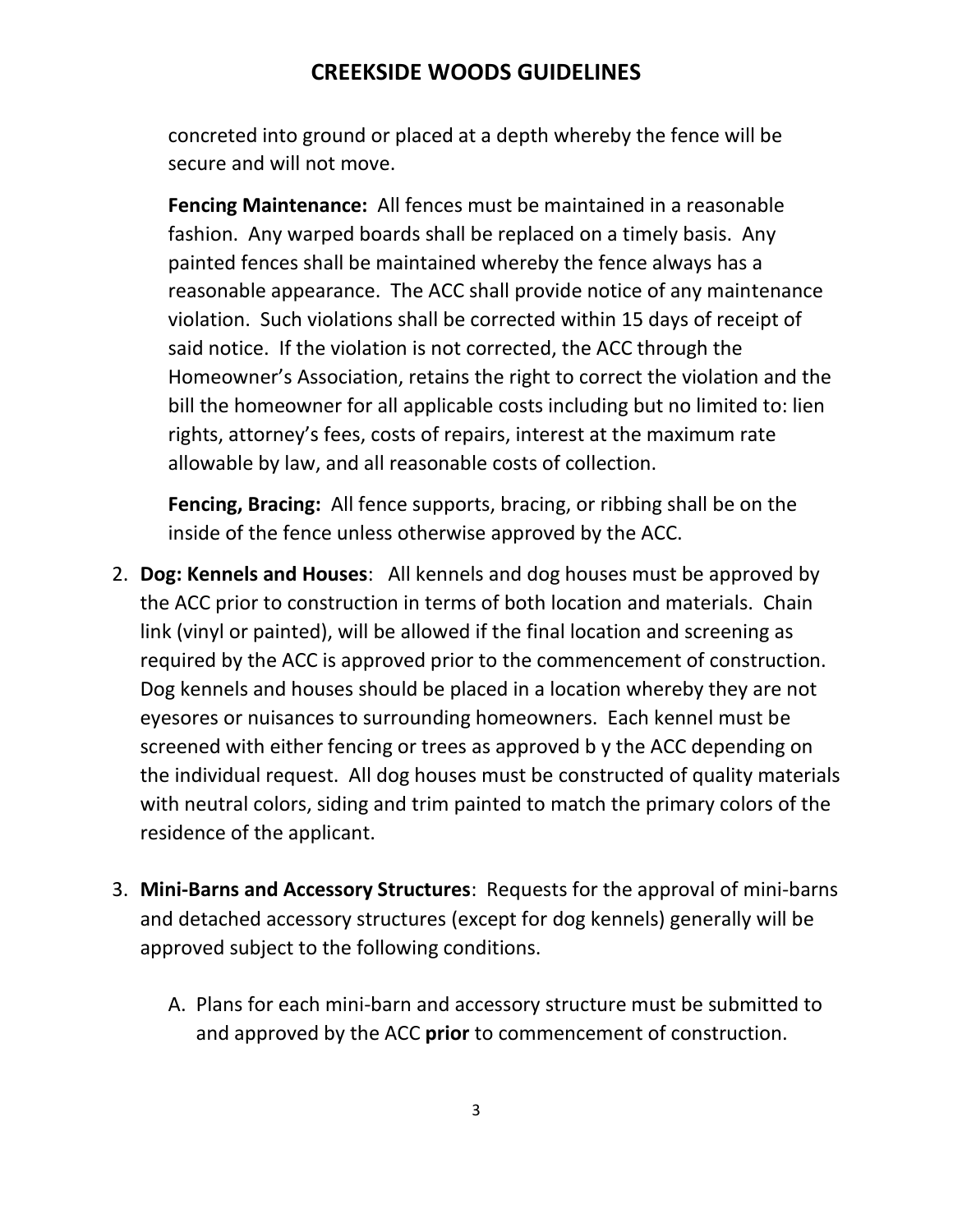concreted into ground or placed at a depth whereby the fence will be secure and will not move.

**Fencing Maintenance:** All fences must be maintained in a reasonable fashion. Any warped boards shall be replaced on a timely basis. Any painted fences shall be maintained whereby the fence always has a reasonable appearance. The ACC shall provide notice of any maintenance violation. Such violations shall be corrected within 15 days of receipt of said notice. If the violation is not corrected, the ACC through the Homeowner's Association, retains the right to correct the violation and the bill the homeowner for all applicable costs including but no limited to: lien rights, attorney's fees, costs of repairs, interest at the maximum rate allowable by law, and all reasonable costs of collection.

**Fencing, Bracing:** All fence supports, bracing, or ribbing shall be on the inside of the fence unless otherwise approved by the ACC.

- <span id="page-2-0"></span>2. **Dog: Kennels and Houses**: All kennels and dog houses must be approved by the ACC prior to construction in terms of both location and materials. Chain link (vinyl or painted), will be allowed if the final location and screening as required by the ACC is approved prior to the commencement of construction. Dog kennels and houses should be placed in a location whereby they are not eyesores or nuisances to surrounding homeowners. Each kennel must be screened with either fencing or trees as approved b y the ACC depending on the individual request. All dog houses must be constructed of quality materials with neutral colors, siding and trim painted to match the primary colors of the residence of the applicant.
- <span id="page-2-1"></span>3. **Mini-Barns and Accessory Structures**: Requests for the approval of mini-barns and detached accessory structures (except for dog kennels) generally will be approved subject to the following conditions.
	- A. Plans for each mini-barn and accessory structure must be submitted to and approved by the ACC **prior** to commencement of construction.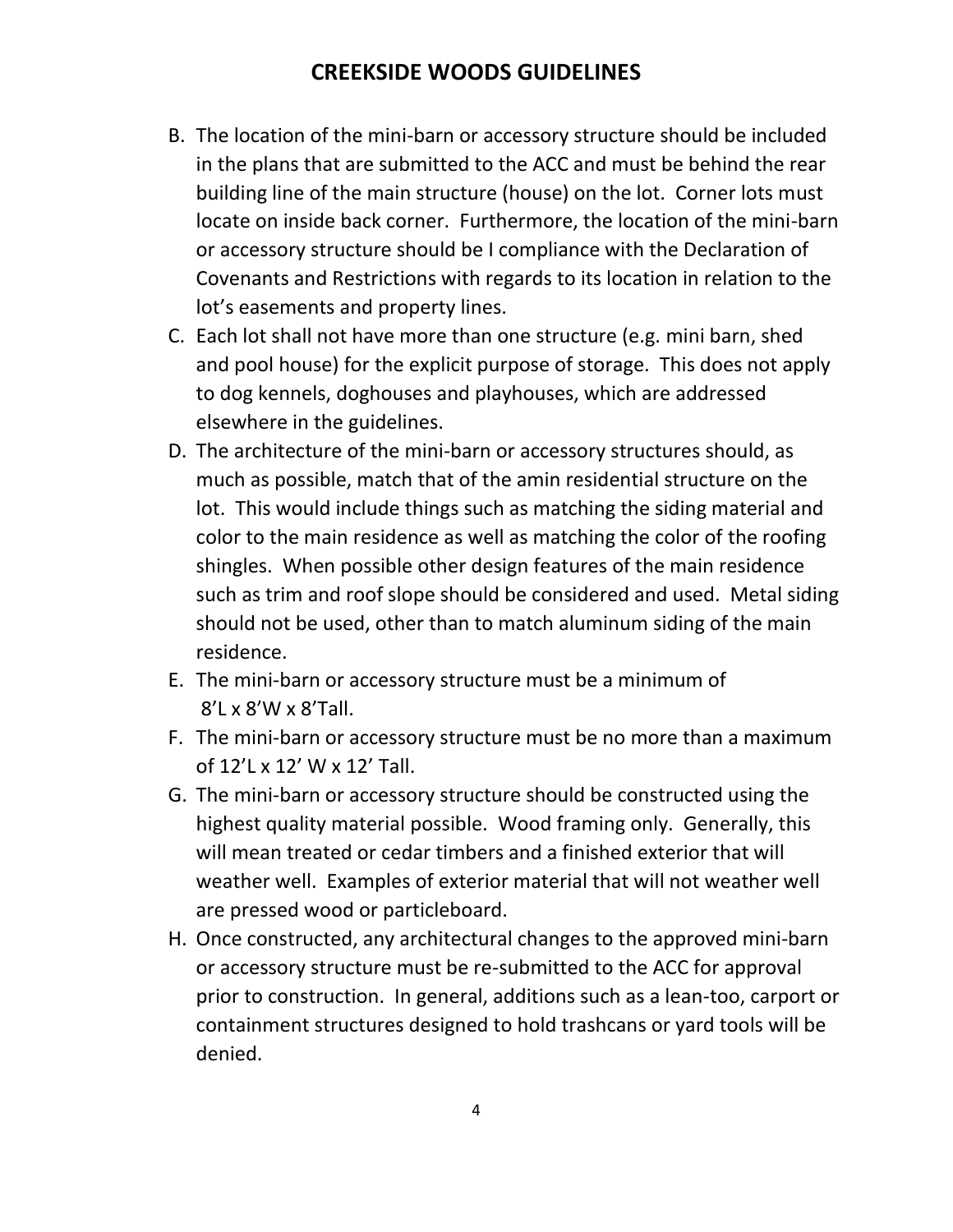- B. The location of the mini-barn or accessory structure should be included in the plans that are submitted to the ACC and must be behind the rear building line of the main structure (house) on the lot. Corner lots must locate on inside back corner. Furthermore, the location of the mini-barn or accessory structure should be I compliance with the Declaration of Covenants and Restrictions with regards to its location in relation to the lot's easements and property lines.
- C. Each lot shall not have more than one structure (e.g. mini barn, shed and pool house) for the explicit purpose of storage. This does not apply to dog kennels, doghouses and playhouses, which are addressed elsewhere in the guidelines.
- D. The architecture of the mini-barn or accessory structures should, as much as possible, match that of the amin residential structure on the lot. This would include things such as matching the siding material and color to the main residence as well as matching the color of the roofing shingles. When possible other design features of the main residence such as trim and roof slope should be considered and used. Metal siding should not be used, other than to match aluminum siding of the main residence.
- E. The mini-barn or accessory structure must be a minimum of 8'L x 8'W x 8'Tall.
- F. The mini-barn or accessory structure must be no more than a maximum of 12'L x 12' W x 12' Tall.
- G. The mini-barn or accessory structure should be constructed using the highest quality material possible. Wood framing only. Generally, this will mean treated or cedar timbers and a finished exterior that will weather well. Examples of exterior material that will not weather well are pressed wood or particleboard.
- H. Once constructed, any architectural changes to the approved mini-barn or accessory structure must be re-submitted to the ACC for approval prior to construction. In general, additions such as a lean-too, carport or containment structures designed to hold trashcans or yard tools will be denied.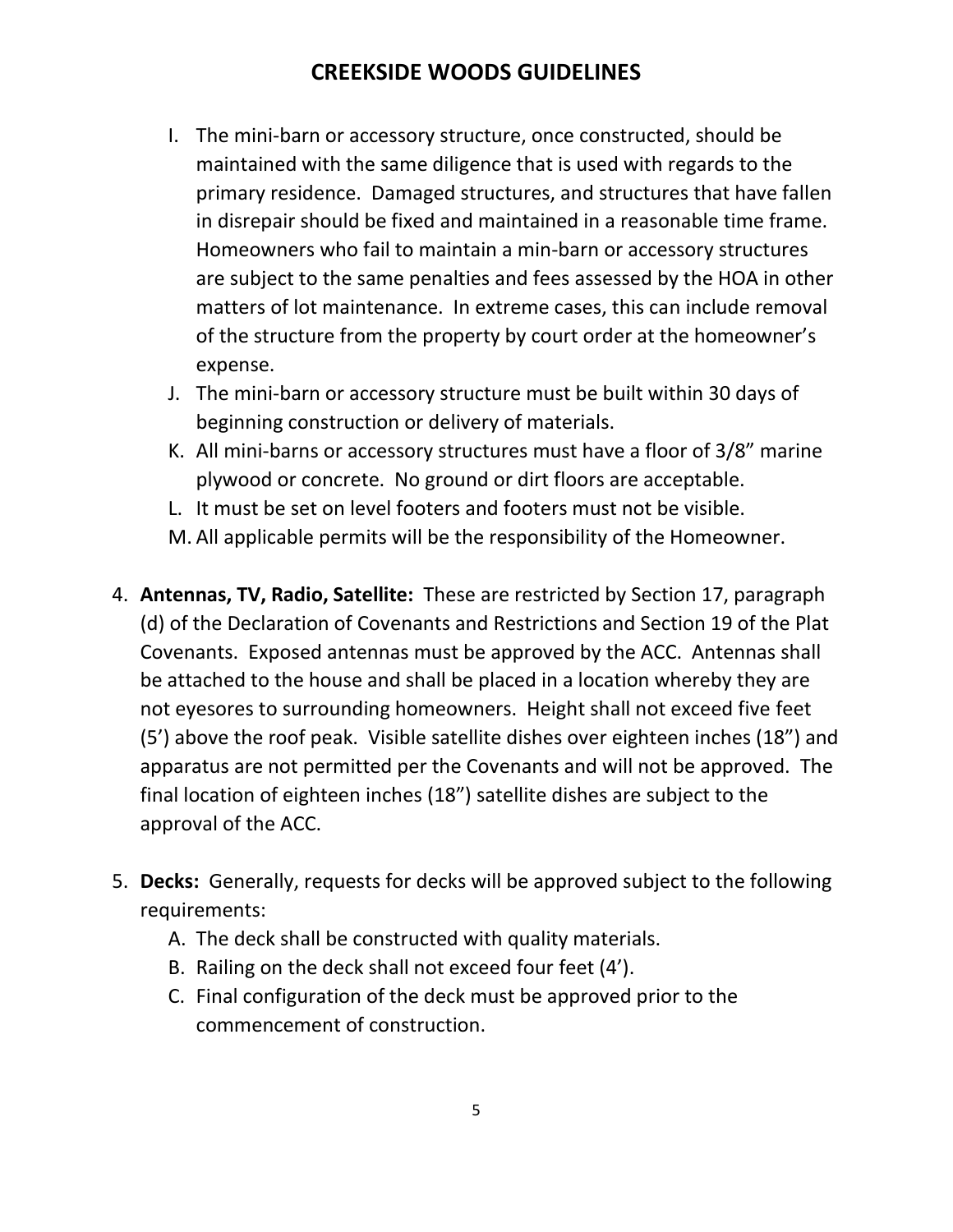- I. The mini-barn or accessory structure, once constructed, should be maintained with the same diligence that is used with regards to the primary residence. Damaged structures, and structures that have fallen in disrepair should be fixed and maintained in a reasonable time frame. Homeowners who fail to maintain a min-barn or accessory structures are subject to the same penalties and fees assessed by the HOA in other matters of lot maintenance. In extreme cases, this can include removal of the structure from the property by court order at the homeowner's expense.
- J. The mini-barn or accessory structure must be built within 30 days of beginning construction or delivery of materials.
- K. All mini-barns or accessory structures must have a floor of 3/8" marine plywood or concrete. No ground or dirt floors are acceptable.
- L. It must be set on level footers and footers must not be visible.
- M. All applicable permits will be the responsibility of the Homeowner.
- <span id="page-4-0"></span>4. **Antennas, TV, Radio, Satellite:** These are restricted by Section 17, paragraph (d) of the Declaration of Covenants and Restrictions and Section 19 of the Plat Covenants. Exposed antennas must be approved by the ACC. Antennas shall be attached to the house and shall be placed in a location whereby they are not eyesores to surrounding homeowners. Height shall not exceed five feet (5') above the roof peak. Visible satellite dishes over eighteen inches (18") and apparatus are not permitted per the Covenants and will not be approved. The final location of eighteen inches (18") satellite dishes are subject to the approval of the ACC.
- <span id="page-4-1"></span>5. **Decks:** Generally, requests for decks will be approved subject to the following requirements:
	- A. The deck shall be constructed with quality materials.
	- B. Railing on the deck shall not exceed four feet (4').
	- C. Final configuration of the deck must be approved prior to the commencement of construction.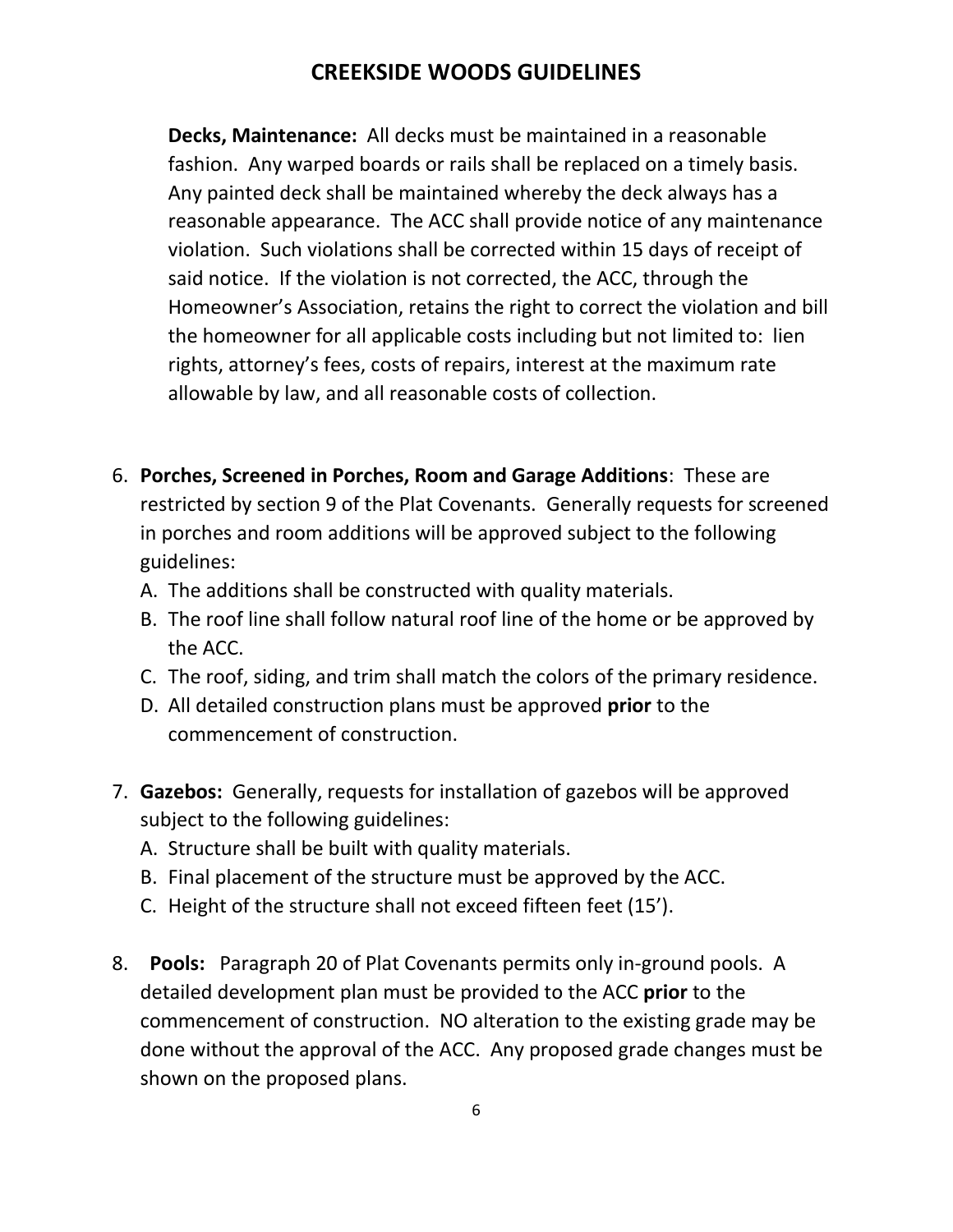**Decks, Maintenance:** All decks must be maintained in a reasonable fashion. Any warped boards or rails shall be replaced on a timely basis. Any painted deck shall be maintained whereby the deck always has a reasonable appearance. The ACC shall provide notice of any maintenance violation. Such violations shall be corrected within 15 days of receipt of said notice. If the violation is not corrected, the ACC, through the Homeowner's Association, retains the right to correct the violation and bill the homeowner for all applicable costs including but not limited to: lien rights, attorney's fees, costs of repairs, interest at the maximum rate allowable by law, and all reasonable costs of collection.

- 6. **Porches, Screened in Porches, Room and Garage Additions**: These are restricted by section 9 of the Plat Covenants. Generally requests for screened in porches and room additions will be approved subject to the following guidelines:
	- A. The additions shall be constructed with quality materials.
	- B. The roof line shall follow natural roof line of the home or be approved by the ACC.
	- C. The roof, siding, and trim shall match the colors of the primary residence.
	- D. All detailed construction plans must be approved **prior** to the commencement of construction.
- <span id="page-5-0"></span>7. **Gazebos:** Generally, requests for installation of gazebos will be approved subject to the following guidelines:
	- A. Structure shall be built with quality materials.
	- B. Final placement of the structure must be approved by the ACC.
	- C. Height of the structure shall not exceed fifteen feet (15').
- <span id="page-5-1"></span>8. **Pools:** Paragraph 20 of Plat Covenants permits only in-ground pools. A detailed development plan must be provided to the ACC **prior** to the commencement of construction. NO alteration to the existing grade may be done without the approval of the ACC. Any proposed grade changes must be shown on the proposed plans.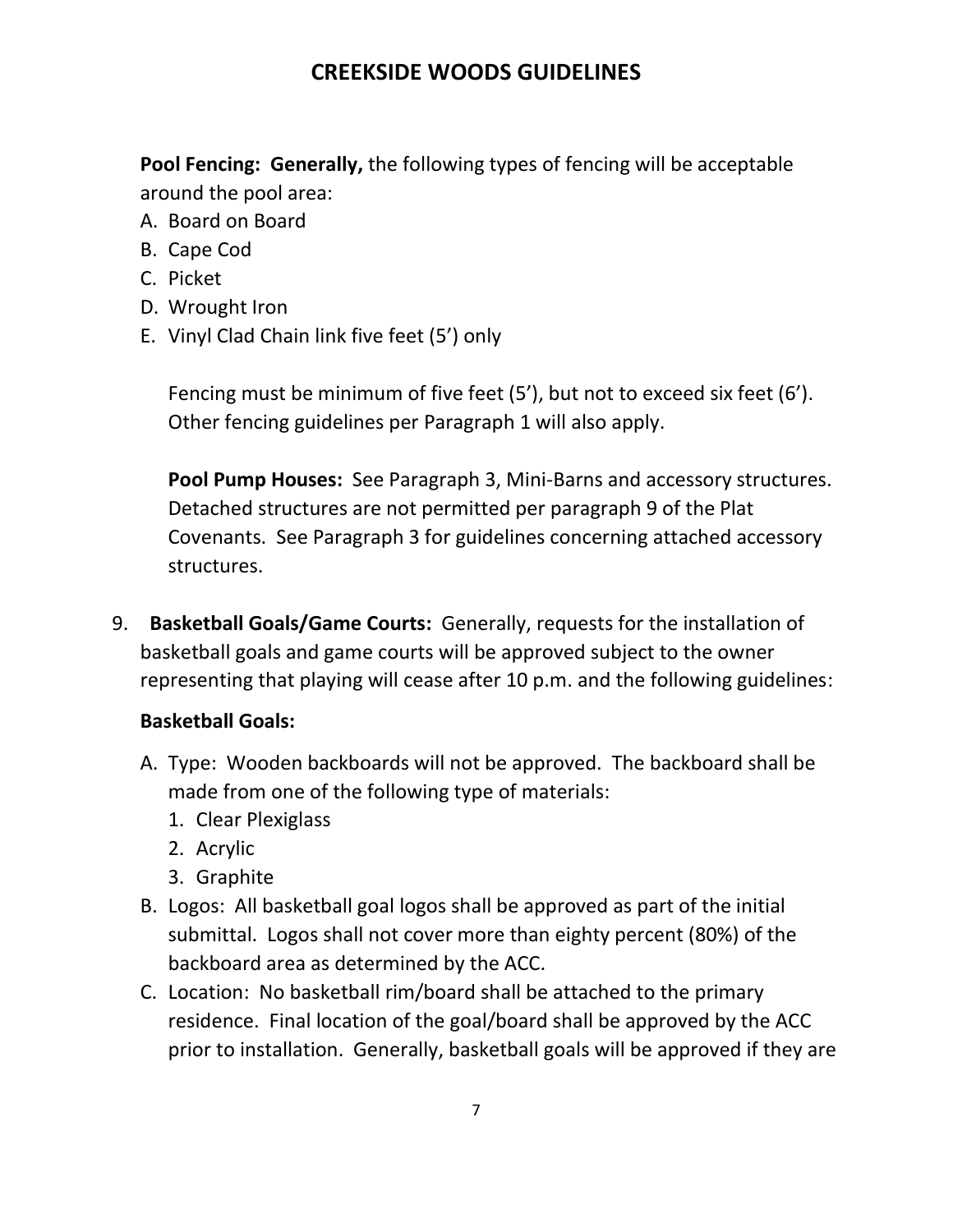**Pool Fencing: Generally,** the following types of fencing will be acceptable around the pool area:

- A. Board on Board
- B. Cape Cod
- C. Picket
- D. Wrought Iron
- E. Vinyl Clad Chain link five feet (5') only

Fencing must be minimum of five feet (5'), but not to exceed six feet (6'). Other fencing guidelines per Paragraph 1 will also apply.

**Pool Pump Houses:** See Paragraph 3, Mini-Barns and accessory structures. Detached structures are not permitted per paragraph 9 of the Plat Covenants. See Paragraph 3 for guidelines concerning attached accessory structures.

<span id="page-6-0"></span>9. **Basketball Goals/Game Courts:** Generally, requests for the installation of basketball goals and game courts will be approved subject to the owner representing that playing will cease after 10 p.m. and the following guidelines:

#### **Basketball Goals:**

- A. Type: Wooden backboards will not be approved. The backboard shall be made from one of the following type of materials:
	- 1. Clear Plexiglass
	- 2. Acrylic
	- 3. Graphite
- B. Logos: All basketball goal logos shall be approved as part of the initial submittal. Logos shall not cover more than eighty percent (80%) of the backboard area as determined by the ACC.
- C. Location: No basketball rim/board shall be attached to the primary residence. Final location of the goal/board shall be approved by the ACC prior to installation. Generally, basketball goals will be approved if they are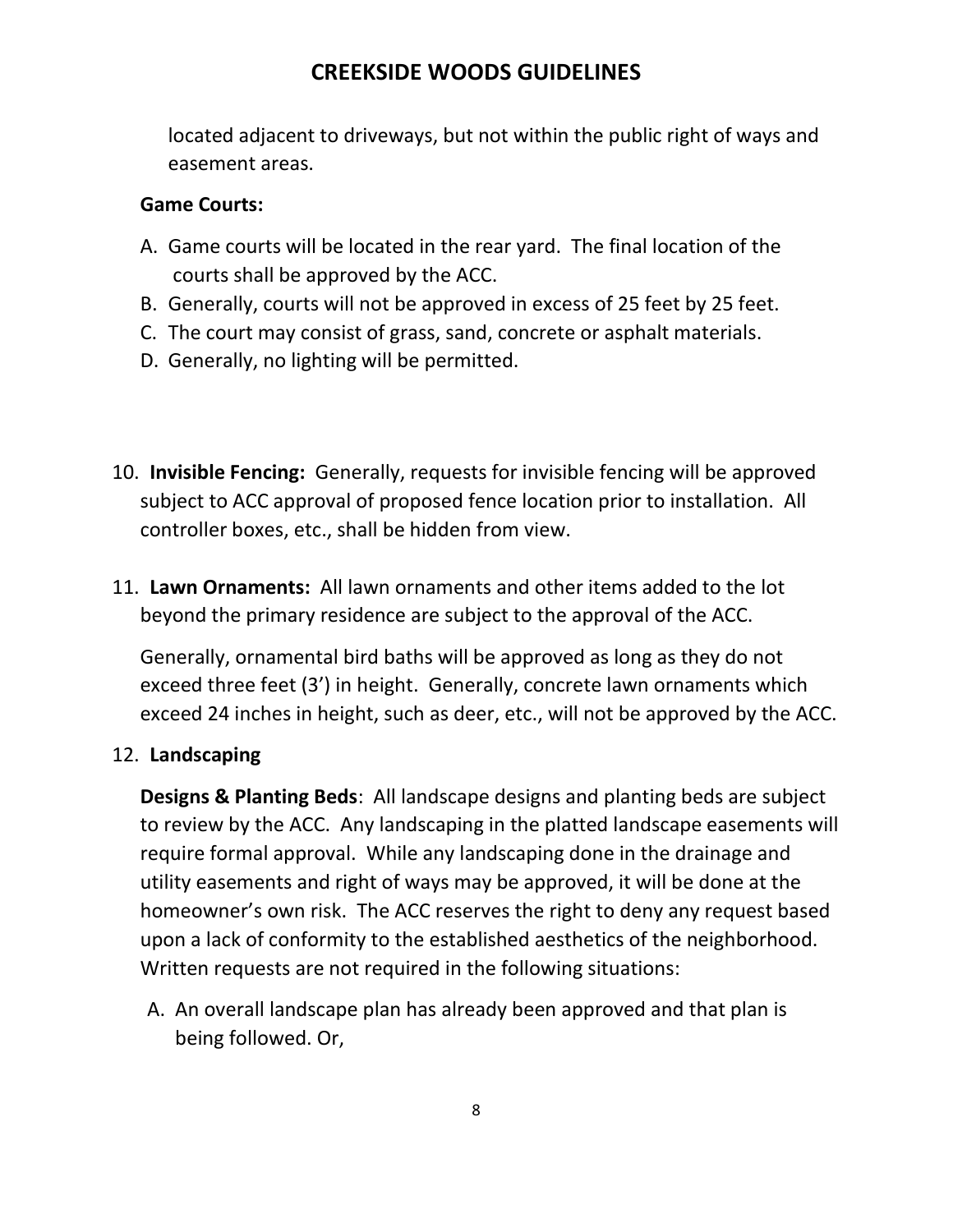located adjacent to driveways, but not within the public right of ways and easement areas.

#### **Game Courts:**

- A. Game courts will be located in the rear yard. The final location of the courts shall be approved by the ACC.
- B. Generally, courts will not be approved in excess of 25 feet by 25 feet.
- C. The court may consist of grass, sand, concrete or asphalt materials.
- D. Generally, no lighting will be permitted.
- <span id="page-7-0"></span>10. **Invisible Fencing:** Generally, requests for invisible fencing will be approved subject to ACC approval of proposed fence location prior to installation. All controller boxes, etc., shall be hidden from view.
- <span id="page-7-1"></span>11. **Lawn Ornaments:** All lawn ornaments and other items added to the lot beyond the primary residence are subject to the approval of the ACC.

Generally, ornamental bird baths will be approved as long as they do not exceed three feet (3') in height. Generally, concrete lawn ornaments which exceed 24 inches in height, such as deer, etc., will not be approved by the ACC.

#### <span id="page-7-2"></span>12. **Landscaping**

**Designs & Planting Beds**: All landscape designs and planting beds are subject to review by the ACC. Any landscaping in the platted landscape easements will require formal approval. While any landscaping done in the drainage and utility easements and right of ways may be approved, it will be done at the homeowner's own risk. The ACC reserves the right to deny any request based upon a lack of conformity to the established aesthetics of the neighborhood. Written requests are not required in the following situations:

A. An overall landscape plan has already been approved and that plan is being followed. Or,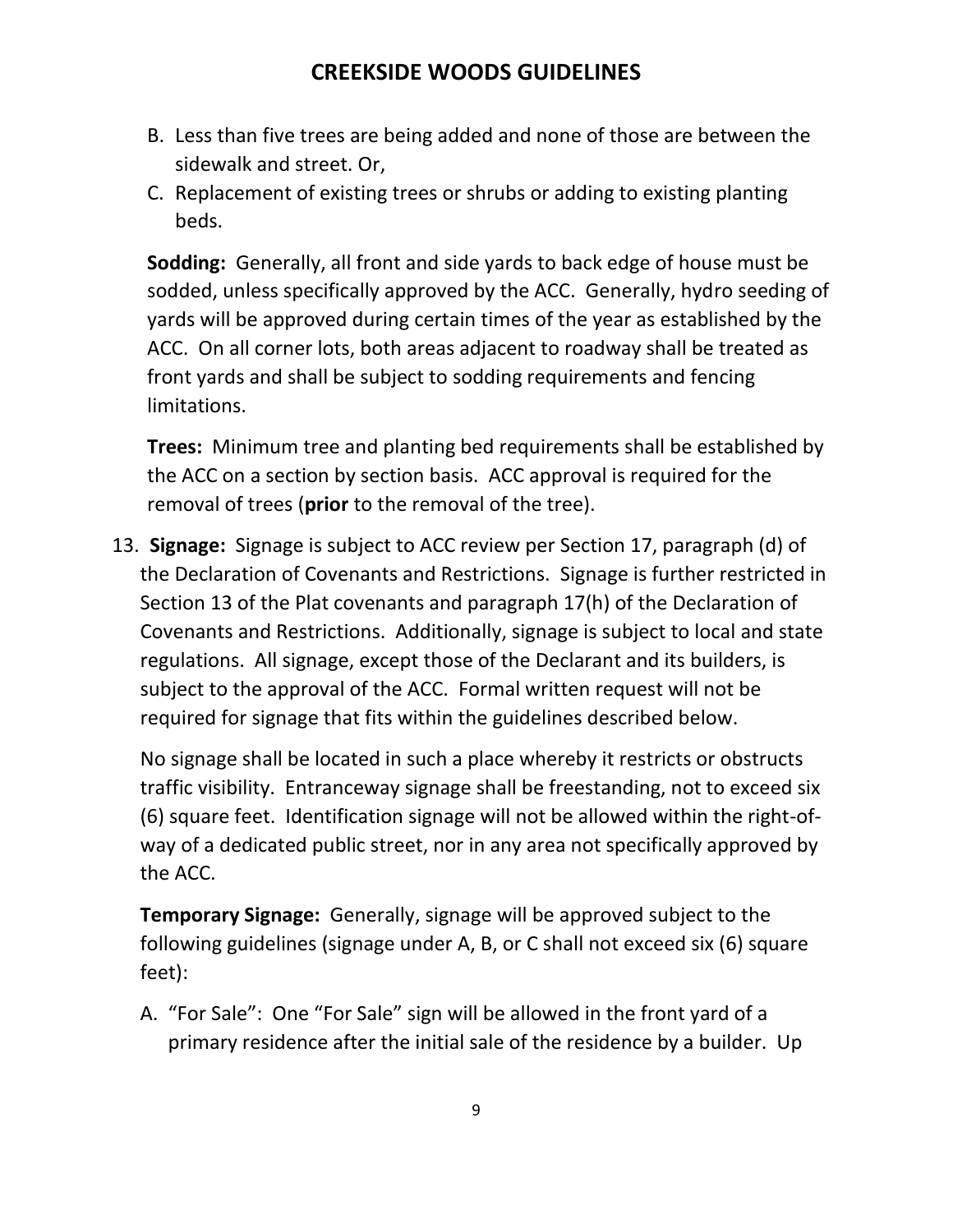- B. Less than five trees are being added and none of those are between the sidewalk and street. Or,
- C. Replacement of existing trees or shrubs or adding to existing planting beds.

**Sodding:** Generally, all front and side yards to back edge of house must be sodded, unless specifically approved by the ACC. Generally, hydro seeding of yards will be approved during certain times of the year as established by the ACC. On all corner lots, both areas adjacent to roadway shall be treated as front yards and shall be subject to sodding requirements and fencing limitations.

**Trees:** Minimum tree and planting bed requirements shall be established by the ACC on a section by section basis. ACC approval is required for the removal of trees (**prior** to the removal of the tree).

<span id="page-8-0"></span>13. **Signage:** Signage is subject to ACC review per Section 17, paragraph (d) of the Declaration of Covenants and Restrictions. Signage is further restricted in Section 13 of the Plat covenants and paragraph 17(h) of the Declaration of Covenants and Restrictions. Additionally, signage is subject to local and state regulations. All signage, except those of the Declarant and its builders, is subject to the approval of the ACC. Formal written request will not be required for signage that fits within the guidelines described below.

No signage shall be located in such a place whereby it restricts or obstructs traffic visibility. Entranceway signage shall be freestanding, not to exceed six (6) square feet. Identification signage will not be allowed within the right-ofway of a dedicated public street, nor in any area not specifically approved by the ACC.

**Temporary Signage:** Generally, signage will be approved subject to the following guidelines (signage under A, B, or C shall not exceed six (6) square feet):

A. "For Sale": One "For Sale" sign will be allowed in the front yard of a primary residence after the initial sale of the residence by a builder. Up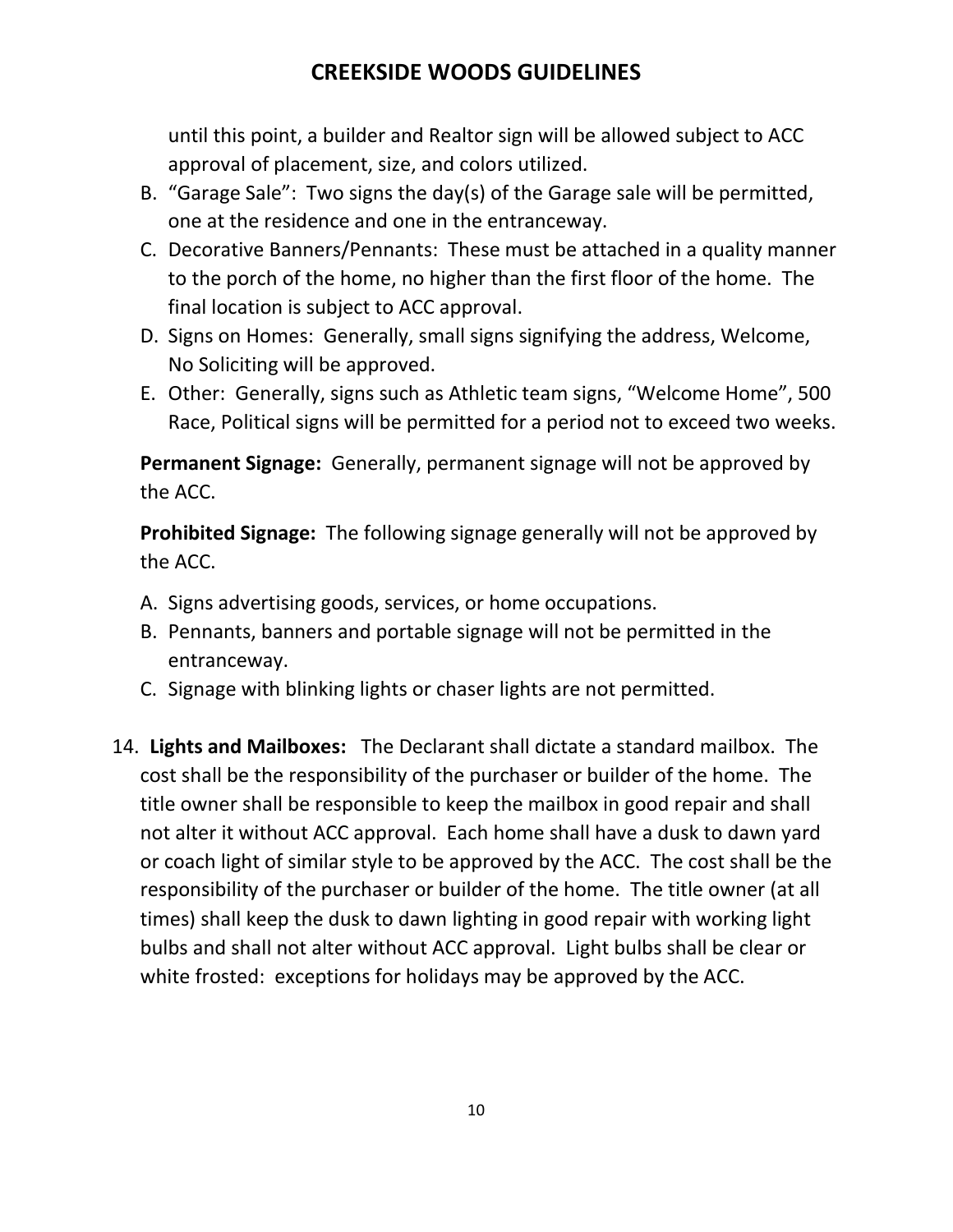until this point, a builder and Realtor sign will be allowed subject to ACC approval of placement, size, and colors utilized.

- B. "Garage Sale": Two signs the day(s) of the Garage sale will be permitted, one at the residence and one in the entranceway.
- C. Decorative Banners/Pennants: These must be attached in a quality manner to the porch of the home, no higher than the first floor of the home. The final location is subject to ACC approval.
- D. Signs on Homes: Generally, small signs signifying the address, Welcome, No Soliciting will be approved.
- E. Other: Generally, signs such as Athletic team signs, "Welcome Home", 500 Race, Political signs will be permitted for a period not to exceed two weeks.

**Permanent Signage:** Generally, permanent signage will not be approved by the ACC.

**Prohibited Signage:** The following signage generally will not be approved by the ACC.

- A. Signs advertising goods, services, or home occupations.
- B. Pennants, banners and portable signage will not be permitted in the entranceway.
- C. Signage with blinking lights or chaser lights are not permitted.
- <span id="page-9-0"></span>14. **Lights and Mailboxes:** The Declarant shall dictate a standard mailbox. The cost shall be the responsibility of the purchaser or builder of the home. The title owner shall be responsible to keep the mailbox in good repair and shall not alter it without ACC approval. Each home shall have a dusk to dawn yard or coach light of similar style to be approved by the ACC. The cost shall be the responsibility of the purchaser or builder of the home. The title owner (at all times) shall keep the dusk to dawn lighting in good repair with working light bulbs and shall not alter without ACC approval. Light bulbs shall be clear or white frosted: exceptions for holidays may be approved by the ACC.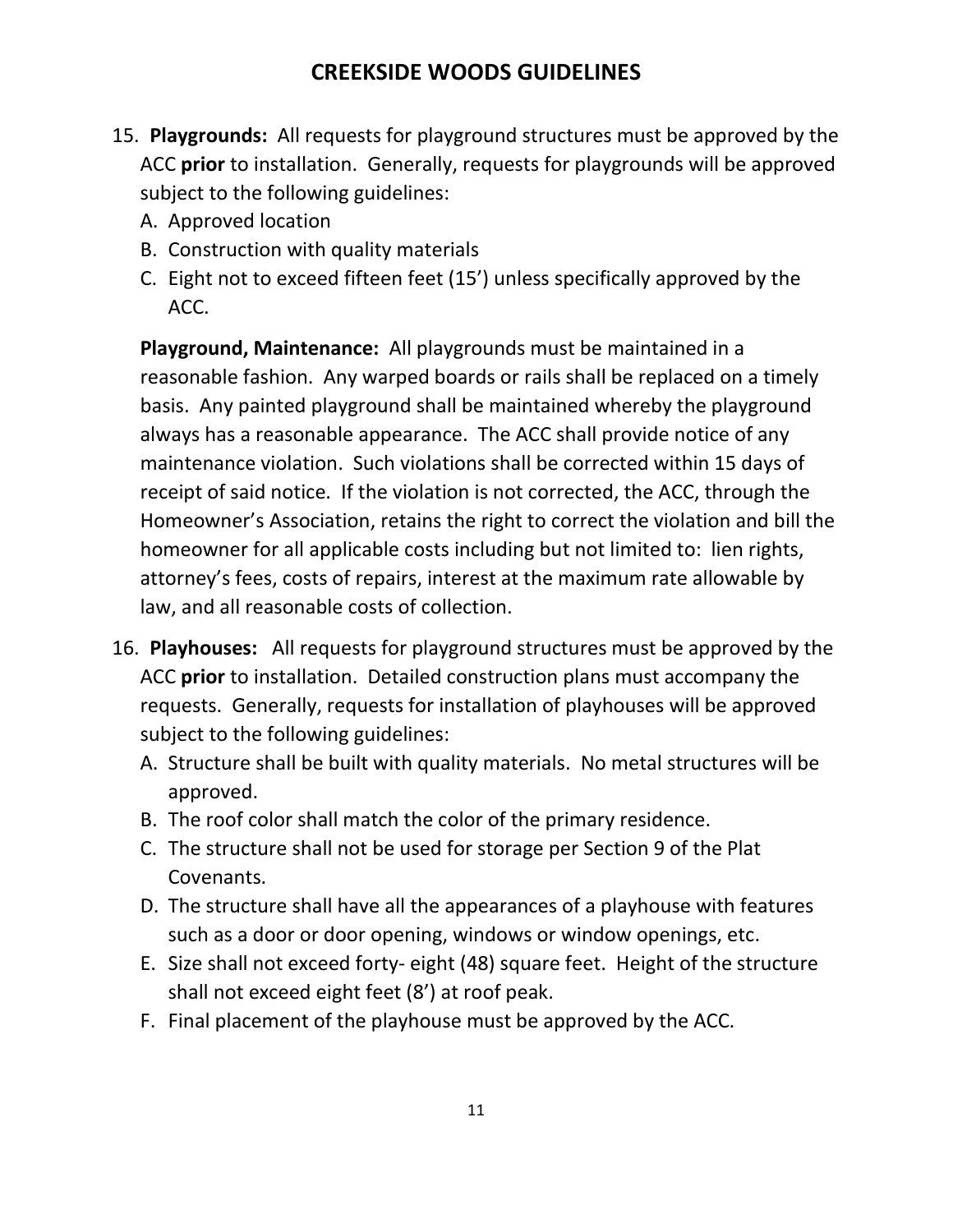- <span id="page-10-0"></span>15. **Playgrounds:** All requests for playground structures must be approved by the ACC **prior** to installation. Generally, requests for playgrounds will be approved subject to the following guidelines:
	- A. Approved location
	- B. Construction with quality materials
	- C. Eight not to exceed fifteen feet (15') unless specifically approved by the ACC.

**Playground, Maintenance:** All playgrounds must be maintained in a reasonable fashion. Any warped boards or rails shall be replaced on a timely basis. Any painted playground shall be maintained whereby the playground always has a reasonable appearance. The ACC shall provide notice of any maintenance violation. Such violations shall be corrected within 15 days of receipt of said notice. If the violation is not corrected, the ACC, through the Homeowner's Association, retains the right to correct the violation and bill the homeowner for all applicable costs including but not limited to: lien rights, attorney's fees, costs of repairs, interest at the maximum rate allowable by law, and all reasonable costs of collection.

- <span id="page-10-1"></span>16. **Playhouses:** All requests for playground structures must be approved by the ACC **prior** to installation. Detailed construction plans must accompany the requests. Generally, requests for installation of playhouses will be approved subject to the following guidelines:
	- A. Structure shall be built with quality materials. No metal structures will be approved.
	- B. The roof color shall match the color of the primary residence.
	- C. The structure shall not be used for storage per Section 9 of the Plat Covenants.
	- D. The structure shall have all the appearances of a playhouse with features such as a door or door opening, windows or window openings, etc.
	- E. Size shall not exceed forty- eight (48) square feet. Height of the structure shall not exceed eight feet (8') at roof peak.
	- F. Final placement of the playhouse must be approved by the ACC.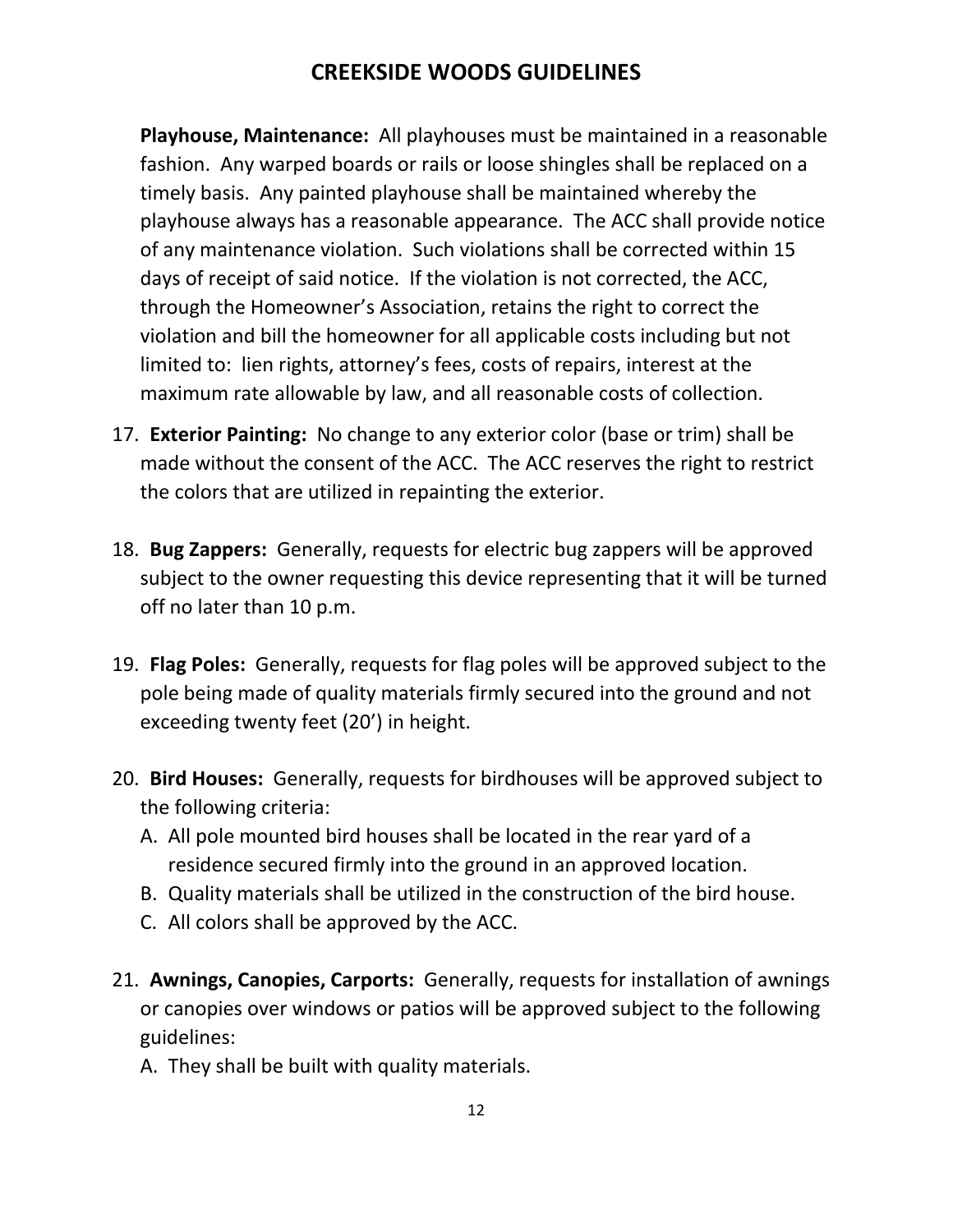**Playhouse, Maintenance:** All playhouses must be maintained in a reasonable fashion. Any warped boards or rails or loose shingles shall be replaced on a timely basis. Any painted playhouse shall be maintained whereby the playhouse always has a reasonable appearance. The ACC shall provide notice of any maintenance violation. Such violations shall be corrected within 15 days of receipt of said notice. If the violation is not corrected, the ACC, through the Homeowner's Association, retains the right to correct the violation and bill the homeowner for all applicable costs including but not limited to: lien rights, attorney's fees, costs of repairs, interest at the maximum rate allowable by law, and all reasonable costs of collection.

- <span id="page-11-0"></span>17. **Exterior Painting:** No change to any exterior color (base or trim) shall be made without the consent of the ACC. The ACC reserves the right to restrict the colors that are utilized in repainting the exterior.
- <span id="page-11-1"></span>18. **Bug Zappers:** Generally, requests for electric bug zappers will be approved subject to the owner requesting this device representing that it will be turned off no later than 10 p.m.
- <span id="page-11-2"></span>19. **Flag Poles:** Generally, requests for flag poles will be approved subject to the pole being made of quality materials firmly secured into the ground and not exceeding twenty feet (20') in height.
- <span id="page-11-3"></span>20. **Bird Houses:** Generally, requests for birdhouses will be approved subject to the following criteria:
	- A. All pole mounted bird houses shall be located in the rear yard of a residence secured firmly into the ground in an approved location.
	- B. Quality materials shall be utilized in the construction of the bird house.
	- C. All colors shall be approved by the ACC.
- <span id="page-11-4"></span>21. **Awnings, Canopies, Carports:** Generally, requests for installation of awnings or canopies over windows or patios will be approved subject to the following guidelines:
	- A. They shall be built with quality materials.